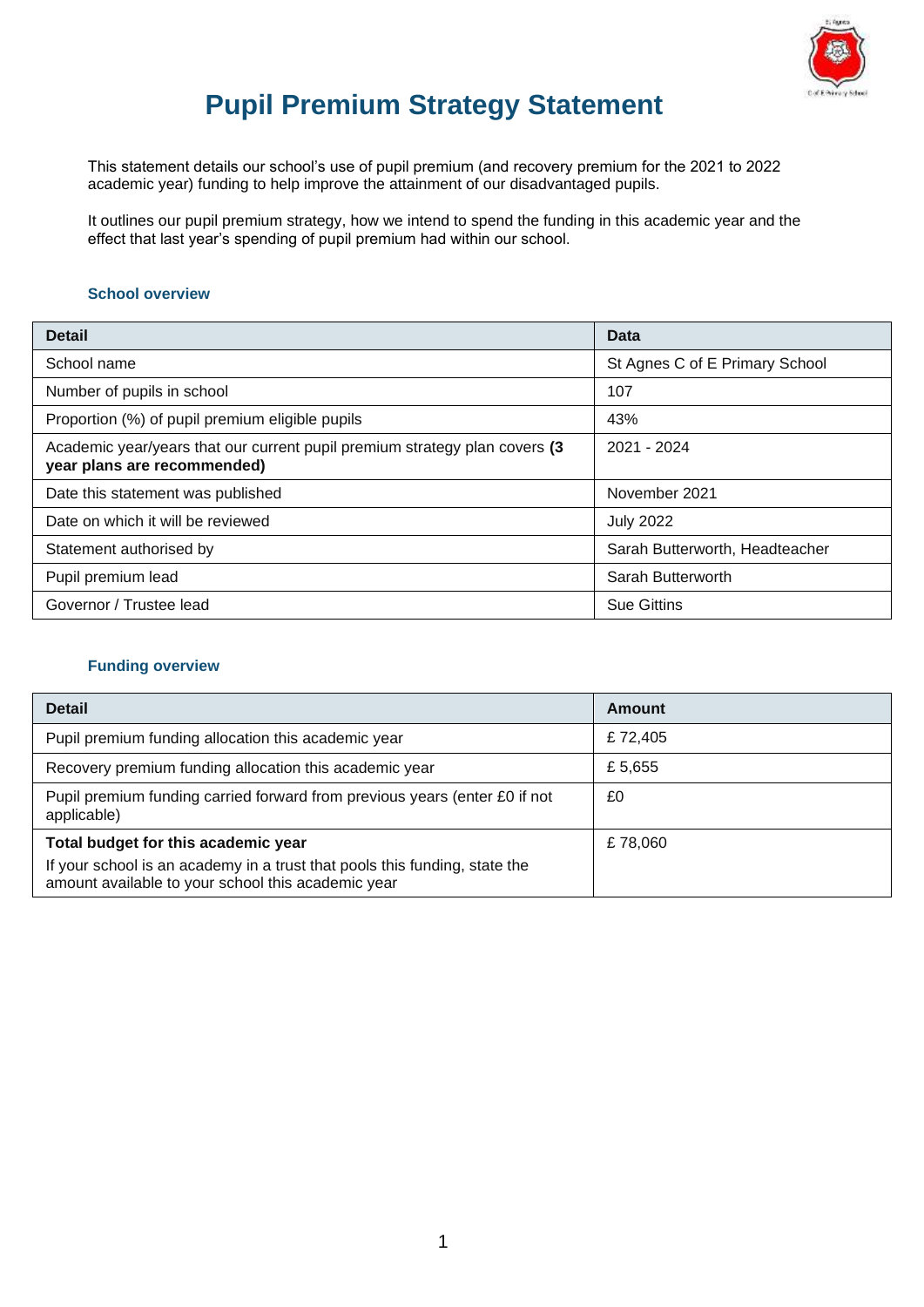

# **Pupil Premium Strategy Statement**

This statement details our school's use of pupil premium (and recovery premium for the 2021 to 2022 academic year) funding to help improve the attainment of our disadvantaged pupils.

It outlines our pupil premium strategy, how we intend to spend the funding in this academic year and the effect that last year's spending of pupil premium had within our school.

#### **School overview**

| <b>Detail</b>                                                                                             | Data                           |
|-----------------------------------------------------------------------------------------------------------|--------------------------------|
| School name                                                                                               | St Agnes C of E Primary School |
| Number of pupils in school                                                                                | 107                            |
| Proportion (%) of pupil premium eligible pupils                                                           | 43%                            |
| Academic year/years that our current pupil premium strategy plan covers (3<br>year plans are recommended) | 2021 - 2024                    |
| Date this statement was published                                                                         | November 2021                  |
| Date on which it will be reviewed                                                                         | <b>July 2022</b>               |
| Statement authorised by                                                                                   | Sarah Butterworth, Headteacher |
| Pupil premium lead                                                                                        | Sarah Butterworth              |
| Governor / Trustee lead                                                                                   | <b>Sue Gittins</b>             |

#### **Funding overview**

| <b>Detail</b>                                                                                                                                                           | Amount  |
|-------------------------------------------------------------------------------------------------------------------------------------------------------------------------|---------|
| Pupil premium funding allocation this academic year                                                                                                                     | £72,405 |
| Recovery premium funding allocation this academic year                                                                                                                  | £5,655  |
| Pupil premium funding carried forward from previous years (enter £0 if not<br>applicable)                                                                               | £0      |
| Total budget for this academic year<br>If your school is an academy in a trust that pools this funding, state the<br>amount available to your school this academic year | £78,060 |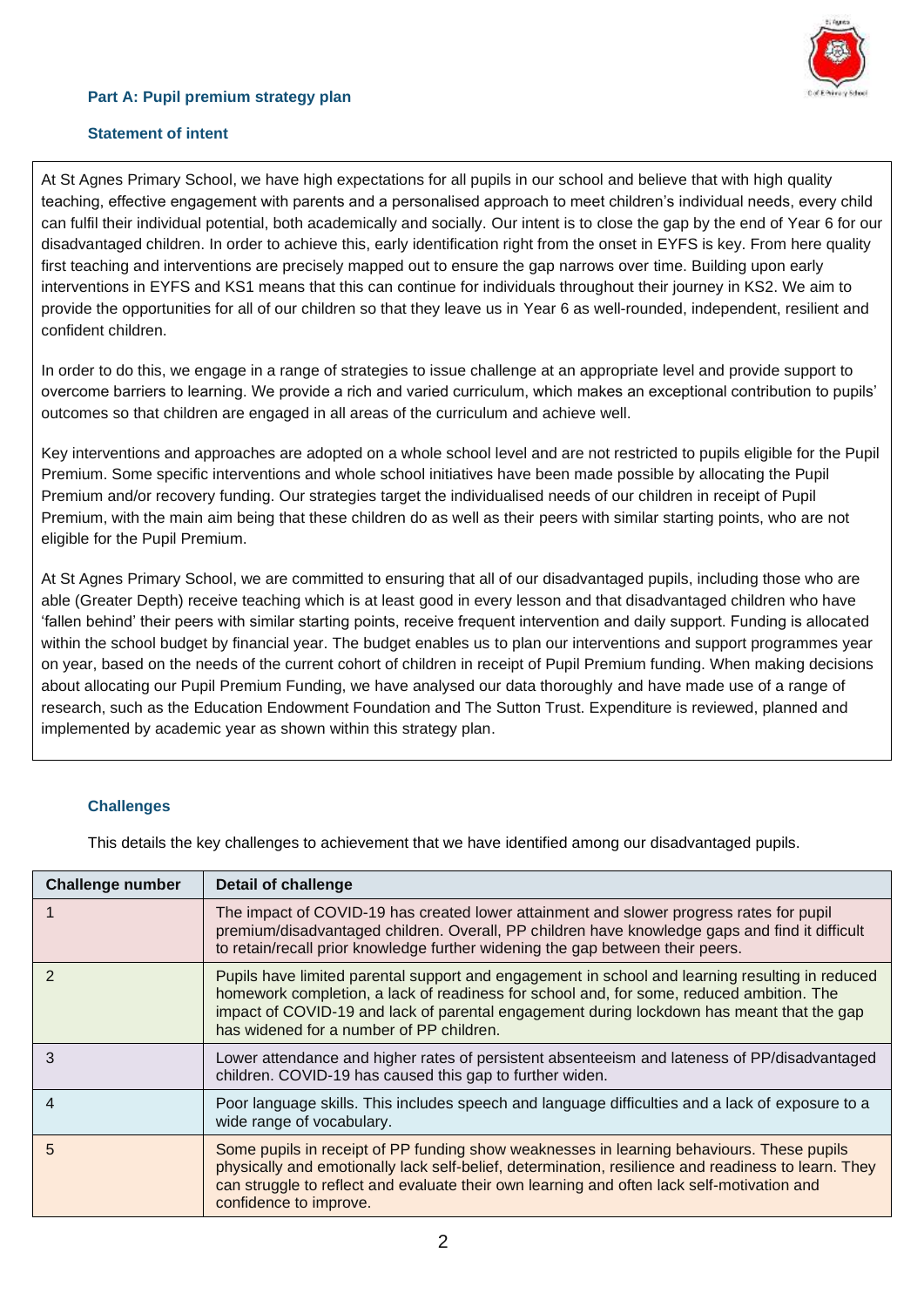## **Part A: Pupil premium strategy plan**



## **Statement of intent**

At St Agnes Primary School, we have high expectations for all pupils in our school and believe that with high quality teaching, effective engagement with parents and a personalised approach to meet children's individual needs, every child can fulfil their individual potential, both academically and socially. Our intent is to close the gap by the end of Year 6 for our disadvantaged children. In order to achieve this, early identification right from the onset in EYFS is key. From here quality first teaching and interventions are precisely mapped out to ensure the gap narrows over time. Building upon early interventions in EYFS and KS1 means that this can continue for individuals throughout their journey in KS2. We aim to provide the opportunities for all of our children so that they leave us in Year 6 as well-rounded, independent, resilient and confident children.

In order to do this, we engage in a range of strategies to issue challenge at an appropriate level and provide support to overcome barriers to learning. We provide a rich and varied curriculum, which makes an exceptional contribution to pupils' outcomes so that children are engaged in all areas of the curriculum and achieve well.

Key interventions and approaches are adopted on a whole school level and are not restricted to pupils eligible for the Pupil Premium. Some specific interventions and whole school initiatives have been made possible by allocating the Pupil Premium and/or recovery funding. Our strategies target the individualised needs of our children in receipt of Pupil Premium, with the main aim being that these children do as well as their peers with similar starting points, who are not eligible for the Pupil Premium.

At St Agnes Primary School, we are committed to ensuring that all of our disadvantaged pupils, including those who are able (Greater Depth) receive teaching which is at least good in every lesson and that disadvantaged children who have 'fallen behind' their peers with similar starting points, receive frequent intervention and daily support. Funding is allocated within the school budget by financial year. The budget enables us to plan our interventions and support programmes year on year, based on the needs of the current cohort of children in receipt of Pupil Premium funding. When making decisions about allocating our Pupil Premium Funding, we have analysed our data thoroughly and have made use of a range of research, such as the Education Endowment Foundation and The Sutton Trust. Expenditure is reviewed, planned and implemented by academic year as shown within this strategy plan.

#### **Challenges**

This details the key challenges to achievement that we have identified among our disadvantaged pupils.

| <b>Challenge number</b> | <b>Detail of challenge</b>                                                                                                                                                                                                                                                                                                           |
|-------------------------|--------------------------------------------------------------------------------------------------------------------------------------------------------------------------------------------------------------------------------------------------------------------------------------------------------------------------------------|
|                         | The impact of COVID-19 has created lower attainment and slower progress rates for pupil<br>premium/disadvantaged children. Overall, PP children have knowledge gaps and find it difficult<br>to retain/recall prior knowledge further widening the gap between their peers.                                                          |
| $\mathcal{P}$           | Pupils have limited parental support and engagement in school and learning resulting in reduced<br>homework completion, a lack of readiness for school and, for some, reduced ambition. The<br>impact of COVID-19 and lack of parental engagement during lockdown has meant that the gap<br>has widened for a number of PP children. |
| 3                       | Lower attendance and higher rates of persistent absenteeism and lateness of PP/disadvantaged<br>children. COVID-19 has caused this gap to further widen.                                                                                                                                                                             |
| 4                       | Poor language skills. This includes speech and language difficulties and a lack of exposure to a<br>wide range of vocabulary.                                                                                                                                                                                                        |
| 5                       | Some pupils in receipt of PP funding show weaknesses in learning behaviours. These pupils<br>physically and emotionally lack self-belief, determination, resilience and readiness to learn. They<br>can struggle to reflect and evaluate their own learning and often lack self-motivation and<br>confidence to improve.             |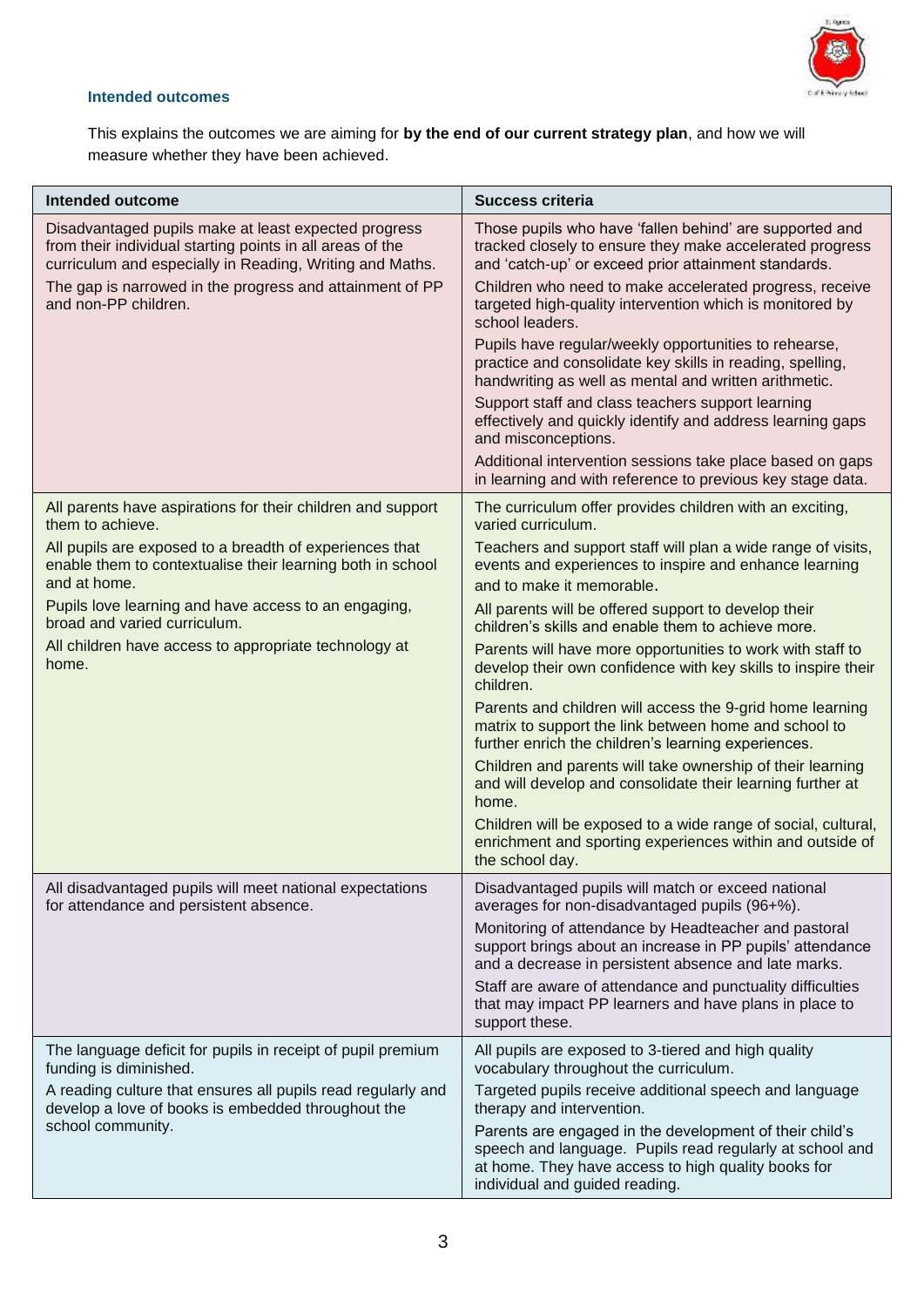

## **Intended outcomes**

This explains the outcomes we are aiming for **by the end of our current strategy plan**, and how we will measure whether they have been achieved.

| Intended outcome                                                                                                                                                              | <b>Success criteria</b>                                                                                                                                                                                      |
|-------------------------------------------------------------------------------------------------------------------------------------------------------------------------------|--------------------------------------------------------------------------------------------------------------------------------------------------------------------------------------------------------------|
| Disadvantaged pupils make at least expected progress<br>from their individual starting points in all areas of the<br>curriculum and especially in Reading, Writing and Maths. | Those pupils who have 'fallen behind' are supported and<br>tracked closely to ensure they make accelerated progress<br>and 'catch-up' or exceed prior attainment standards.                                  |
| The gap is narrowed in the progress and attainment of PP<br>and non-PP children.                                                                                              | Children who need to make accelerated progress, receive<br>targeted high-quality intervention which is monitored by<br>school leaders.                                                                       |
|                                                                                                                                                                               | Pupils have regular/weekly opportunities to rehearse,<br>practice and consolidate key skills in reading, spelling,<br>handwriting as well as mental and written arithmetic.                                  |
|                                                                                                                                                                               | Support staff and class teachers support learning<br>effectively and quickly identify and address learning gaps<br>and misconceptions.                                                                       |
|                                                                                                                                                                               | Additional intervention sessions take place based on gaps<br>in learning and with reference to previous key stage data.                                                                                      |
| All parents have aspirations for their children and support<br>them to achieve.                                                                                               | The curriculum offer provides children with an exciting,<br>varied curriculum.                                                                                                                               |
| All pupils are exposed to a breadth of experiences that<br>enable them to contextualise their learning both in school<br>and at home.                                         | Teachers and support staff will plan a wide range of visits,<br>events and experiences to inspire and enhance learning<br>and to make it memorable.                                                          |
| Pupils love learning and have access to an engaging,<br>broad and varied curriculum.                                                                                          | All parents will be offered support to develop their<br>children's skills and enable them to achieve more.                                                                                                   |
| All children have access to appropriate technology at<br>home.                                                                                                                | Parents will have more opportunities to work with staff to<br>develop their own confidence with key skills to inspire their<br>children.                                                                     |
|                                                                                                                                                                               | Parents and children will access the 9-grid home learning<br>matrix to support the link between home and school to<br>further enrich the children's learning experiences.                                    |
|                                                                                                                                                                               | Children and parents will take ownership of their learning<br>and will develop and consolidate their learning further at<br>home.                                                                            |
|                                                                                                                                                                               | Children will be exposed to a wide range of social, cultural,<br>enrichment and sporting experiences within and outside of<br>the school day.                                                                |
| All disadvantaged pupils will meet national expectations<br>for attendance and persistent absence.                                                                            | Disadvantaged pupils will match or exceed national<br>averages for non-disadvantaged pupils (96+%).                                                                                                          |
|                                                                                                                                                                               | Monitoring of attendance by Headteacher and pastoral<br>support brings about an increase in PP pupils' attendance<br>and a decrease in persistent absence and late marks.                                    |
|                                                                                                                                                                               | Staff are aware of attendance and punctuality difficulties<br>that may impact PP learners and have plans in place to<br>support these.                                                                       |
| The language deficit for pupils in receipt of pupil premium<br>funding is diminished.                                                                                         | All pupils are exposed to 3-tiered and high quality<br>vocabulary throughout the curriculum.                                                                                                                 |
| A reading culture that ensures all pupils read regularly and<br>develop a love of books is embedded throughout the                                                            | Targeted pupils receive additional speech and language<br>therapy and intervention.                                                                                                                          |
| school community.                                                                                                                                                             | Parents are engaged in the development of their child's<br>speech and language. Pupils read regularly at school and<br>at home. They have access to high quality books for<br>individual and guided reading. |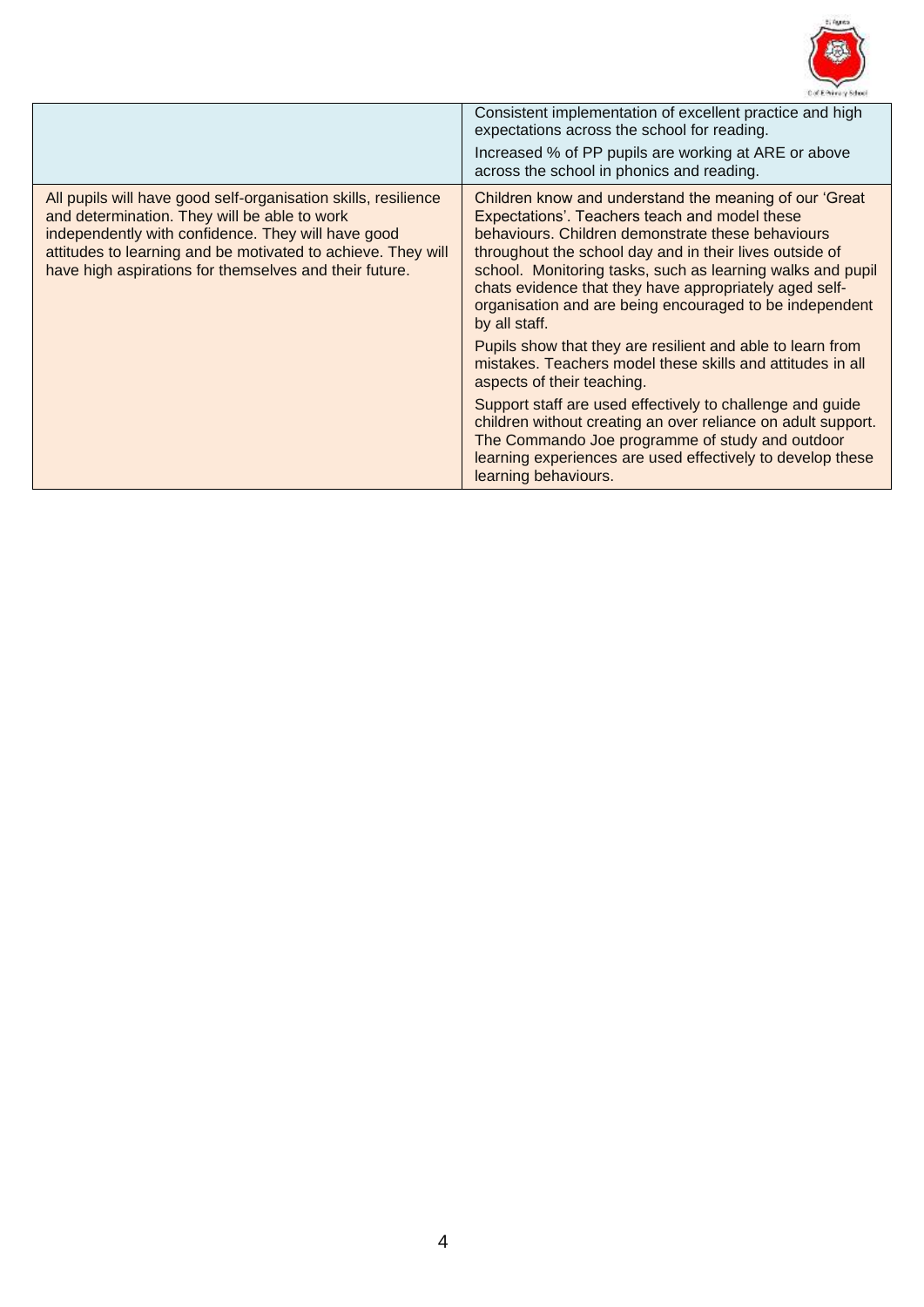

| Consistent implementation of excellent practice and high<br>expectations across the school for reading.<br>Increased % of PP pupils are working at ARE or above<br>across the school in phonics and reading.<br>Children know and understand the meaning of our 'Great<br>All pupils will have good self-organisation skills, resilience<br>and determination. They will be able to work<br>Expectations'. Teachers teach and model these<br>independently with confidence. They will have good<br>behaviours. Children demonstrate these behaviours<br>attitudes to learning and be motivated to achieve. They will<br>throughout the school day and in their lives outside of<br>have high aspirations for themselves and their future.<br>chats evidence that they have appropriately aged self-<br>organisation and are being encouraged to be independent<br>by all staff.<br>Pupils show that they are resilient and able to learn from<br>mistakes. Teachers model these skills and attitudes in all<br>aspects of their teaching.<br>Support staff are used effectively to challenge and guide<br>children without creating an over reliance on adult support.<br>The Commando Joe programme of study and outdoor<br>learning experiences are used effectively to develop these |                                                                                    |
|-----------------------------------------------------------------------------------------------------------------------------------------------------------------------------------------------------------------------------------------------------------------------------------------------------------------------------------------------------------------------------------------------------------------------------------------------------------------------------------------------------------------------------------------------------------------------------------------------------------------------------------------------------------------------------------------------------------------------------------------------------------------------------------------------------------------------------------------------------------------------------------------------------------------------------------------------------------------------------------------------------------------------------------------------------------------------------------------------------------------------------------------------------------------------------------------------------------------------------------------------------------------------------------------|------------------------------------------------------------------------------------|
|                                                                                                                                                                                                                                                                                                                                                                                                                                                                                                                                                                                                                                                                                                                                                                                                                                                                                                                                                                                                                                                                                                                                                                                                                                                                                         |                                                                                    |
|                                                                                                                                                                                                                                                                                                                                                                                                                                                                                                                                                                                                                                                                                                                                                                                                                                                                                                                                                                                                                                                                                                                                                                                                                                                                                         | school. Monitoring tasks, such as learning walks and pupil<br>learning behaviours. |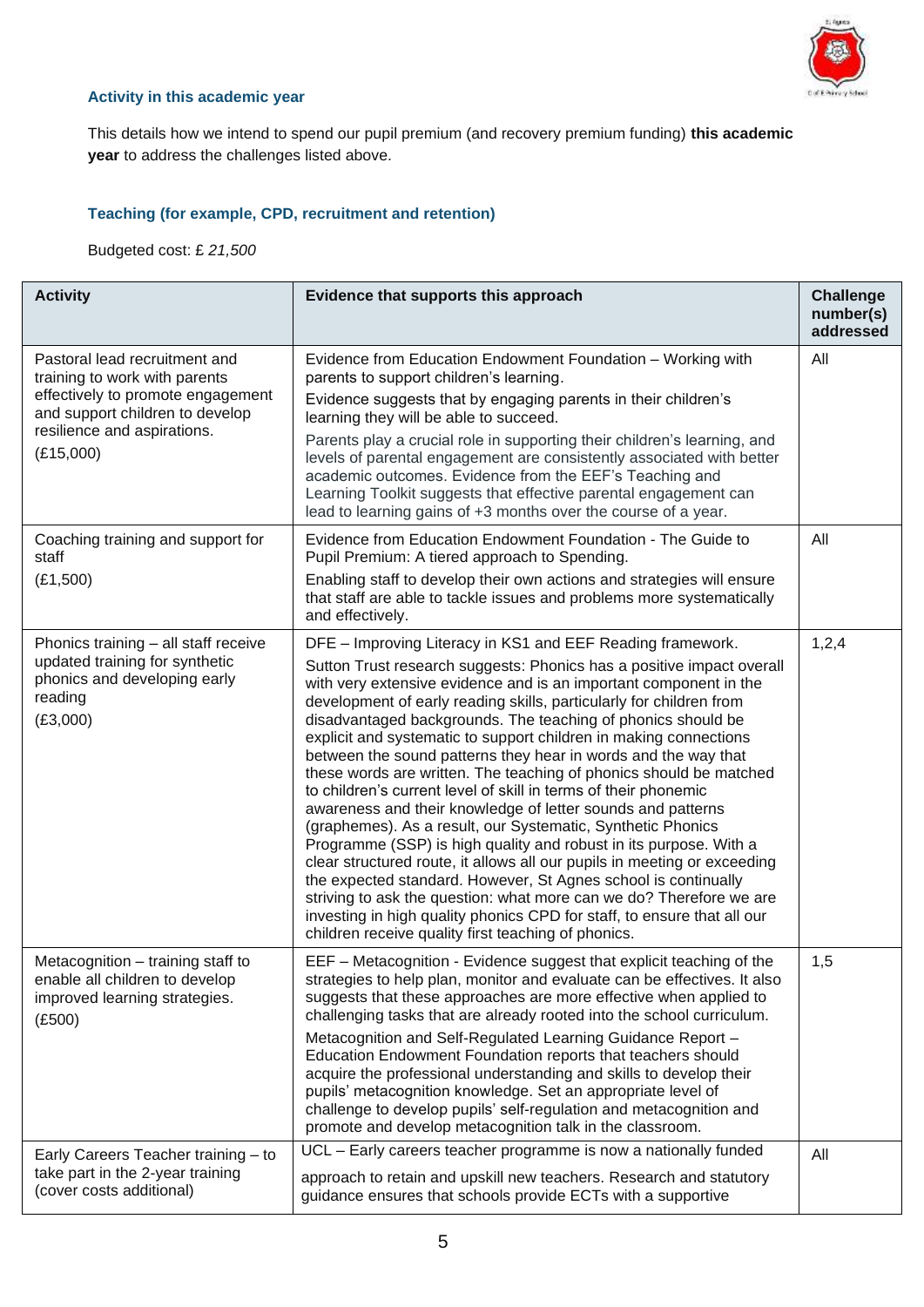

## **Activity in this academic year**

This details how we intend to spend our pupil premium (and recovery premium funding) **this academic year** to address the challenges listed above.

## **Teaching (for example, CPD, recruitment and retention)**

Budgeted cost: £ *21,500*

| <b>Activity</b>                                                                                                                        | Evidence that supports this approach                                                                                                                                                                                                                                                                                                                                                                                                                                                                                                                                                                                                                                                                                                                                                                                                                                                                                                                                                                                                                                                                                                                                                      | <b>Challenge</b><br>number(s)<br>addressed |
|----------------------------------------------------------------------------------------------------------------------------------------|-------------------------------------------------------------------------------------------------------------------------------------------------------------------------------------------------------------------------------------------------------------------------------------------------------------------------------------------------------------------------------------------------------------------------------------------------------------------------------------------------------------------------------------------------------------------------------------------------------------------------------------------------------------------------------------------------------------------------------------------------------------------------------------------------------------------------------------------------------------------------------------------------------------------------------------------------------------------------------------------------------------------------------------------------------------------------------------------------------------------------------------------------------------------------------------------|--------------------------------------------|
| Pastoral lead recruitment and<br>training to work with parents<br>effectively to promote engagement<br>and support children to develop | Evidence from Education Endowment Foundation - Working with<br>parents to support children's learning.<br>Evidence suggests that by engaging parents in their children's<br>learning they will be able to succeed.                                                                                                                                                                                                                                                                                                                                                                                                                                                                                                                                                                                                                                                                                                                                                                                                                                                                                                                                                                        | All                                        |
| resilience and aspirations.<br>(E15,000)                                                                                               | Parents play a crucial role in supporting their children's learning, and<br>levels of parental engagement are consistently associated with better<br>academic outcomes. Evidence from the EEF's Teaching and<br>Learning Toolkit suggests that effective parental engagement can<br>lead to learning gains of +3 months over the course of a year.                                                                                                                                                                                                                                                                                                                                                                                                                                                                                                                                                                                                                                                                                                                                                                                                                                        |                                            |
| Coaching training and support for<br>staff                                                                                             | Evidence from Education Endowment Foundation - The Guide to<br>Pupil Premium: A tiered approach to Spending.                                                                                                                                                                                                                                                                                                                                                                                                                                                                                                                                                                                                                                                                                                                                                                                                                                                                                                                                                                                                                                                                              | All                                        |
| (E1,500)                                                                                                                               | Enabling staff to develop their own actions and strategies will ensure<br>that staff are able to tackle issues and problems more systematically<br>and effectively.                                                                                                                                                                                                                                                                                                                                                                                                                                                                                                                                                                                                                                                                                                                                                                                                                                                                                                                                                                                                                       |                                            |
| Phonics training - all staff receive<br>updated training for synthetic<br>phonics and developing early<br>reading<br>(E3,000)          | DFE - Improving Literacy in KS1 and EEF Reading framework.<br>Sutton Trust research suggests: Phonics has a positive impact overall<br>with very extensive evidence and is an important component in the<br>development of early reading skills, particularly for children from<br>disadvantaged backgrounds. The teaching of phonics should be<br>explicit and systematic to support children in making connections<br>between the sound patterns they hear in words and the way that<br>these words are written. The teaching of phonics should be matched<br>to children's current level of skill in terms of their phonemic<br>awareness and their knowledge of letter sounds and patterns<br>(graphemes). As a result, our Systematic, Synthetic Phonics<br>Programme (SSP) is high quality and robust in its purpose. With a<br>clear structured route, it allows all our pupils in meeting or exceeding<br>the expected standard. However, St Agnes school is continually<br>striving to ask the question: what more can we do? Therefore we are<br>investing in high quality phonics CPD for staff, to ensure that all our<br>children receive quality first teaching of phonics. | 1,2,4                                      |
| Metacognition - training staff to<br>enable all children to develop<br>improved learning strategies.<br>(E500)                         | EEF - Metacognition - Evidence suggest that explicit teaching of the<br>strategies to help plan, monitor and evaluate can be effectives. It also<br>suggests that these approaches are more effective when applied to<br>challenging tasks that are already rooted into the school curriculum.<br>Metacognition and Self-Regulated Learning Guidance Report -<br>Education Endowment Foundation reports that teachers should<br>acquire the professional understanding and skills to develop their<br>pupils' metacognition knowledge. Set an appropriate level of<br>challenge to develop pupils' self-regulation and metacognition and<br>promote and develop metacognition talk in the classroom.                                                                                                                                                                                                                                                                                                                                                                                                                                                                                      | 1,5                                        |
| Early Careers Teacher training - to<br>take part in the 2-year training<br>(cover costs additional)                                    | UCL - Early careers teacher programme is now a nationally funded<br>approach to retain and upskill new teachers. Research and statutory<br>guidance ensures that schools provide ECTs with a supportive                                                                                                                                                                                                                                                                                                                                                                                                                                                                                                                                                                                                                                                                                                                                                                                                                                                                                                                                                                                   | All                                        |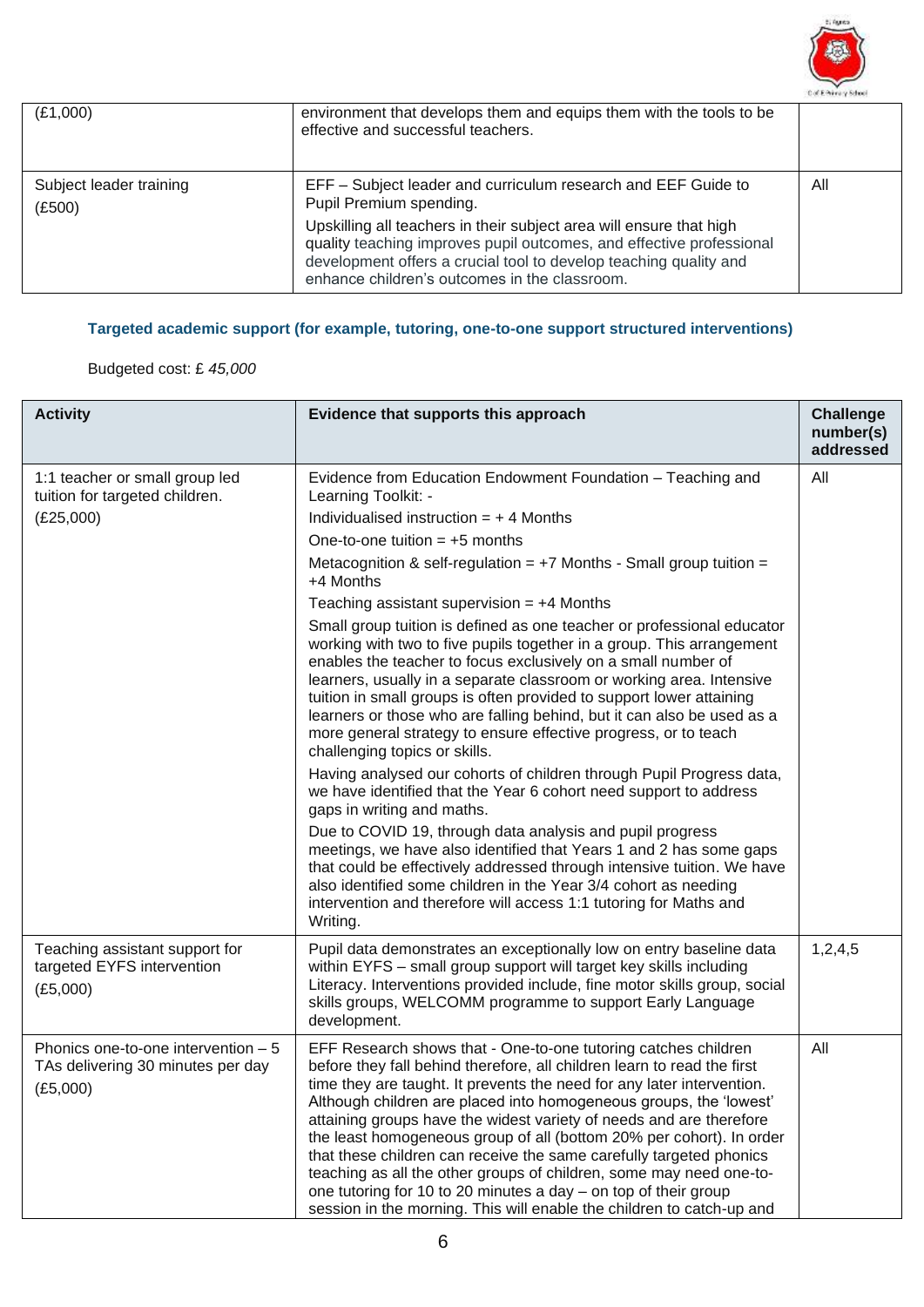

| (E1,000)                          | environment that develops them and equips them with the tools to be<br>effective and successful teachers.                                                                                                                                                                                                                                                     |     |
|-----------------------------------|---------------------------------------------------------------------------------------------------------------------------------------------------------------------------------------------------------------------------------------------------------------------------------------------------------------------------------------------------------------|-----|
| Subject leader training<br>(E500) | EFF - Subject leader and curriculum research and EEF Guide to<br>Pupil Premium spending.<br>Upskilling all teachers in their subject area will ensure that high<br>quality teaching improves pupil outcomes, and effective professional<br>development offers a crucial tool to develop teaching quality and<br>enhance children's outcomes in the classroom. | All |

# **Targeted academic support (for example, tutoring, one-to-one support structured interventions)**

# Budgeted cost: £ *45,000*

| <b>Activity</b>                                                                       | Evidence that supports this approach                                                                                                                                                                                                                                                                                                                                                                                                                                                                                                                                                                                                                                                                                               | <b>Challenge</b><br>number(s)<br>addressed |
|---------------------------------------------------------------------------------------|------------------------------------------------------------------------------------------------------------------------------------------------------------------------------------------------------------------------------------------------------------------------------------------------------------------------------------------------------------------------------------------------------------------------------------------------------------------------------------------------------------------------------------------------------------------------------------------------------------------------------------------------------------------------------------------------------------------------------------|--------------------------------------------|
| 1:1 teacher or small group led<br>tuition for targeted children.                      | Evidence from Education Endowment Foundation - Teaching and<br>Learning Toolkit: -                                                                                                                                                                                                                                                                                                                                                                                                                                                                                                                                                                                                                                                 | All                                        |
| (E25,000)                                                                             | Individualised instruction $= +4$ Months                                                                                                                                                                                                                                                                                                                                                                                                                                                                                                                                                                                                                                                                                           |                                            |
|                                                                                       | One-to-one tuition $= +5$ months                                                                                                                                                                                                                                                                                                                                                                                                                                                                                                                                                                                                                                                                                                   |                                            |
|                                                                                       | Metacognition & self-regulation = $+7$ Months - Small group tuition =<br>+4 Months                                                                                                                                                                                                                                                                                                                                                                                                                                                                                                                                                                                                                                                 |                                            |
|                                                                                       | Teaching assistant supervision $= +4$ Months                                                                                                                                                                                                                                                                                                                                                                                                                                                                                                                                                                                                                                                                                       |                                            |
|                                                                                       | Small group tuition is defined as one teacher or professional educator<br>working with two to five pupils together in a group. This arrangement<br>enables the teacher to focus exclusively on a small number of<br>learners, usually in a separate classroom or working area. Intensive<br>tuition in small groups is often provided to support lower attaining<br>learners or those who are falling behind, but it can also be used as a<br>more general strategy to ensure effective progress, or to teach<br>challenging topics or skills.                                                                                                                                                                                     |                                            |
|                                                                                       | Having analysed our cohorts of children through Pupil Progress data,<br>we have identified that the Year 6 cohort need support to address<br>gaps in writing and maths.                                                                                                                                                                                                                                                                                                                                                                                                                                                                                                                                                            |                                            |
|                                                                                       | Due to COVID 19, through data analysis and pupil progress<br>meetings, we have also identified that Years 1 and 2 has some gaps<br>that could be effectively addressed through intensive tuition. We have<br>also identified some children in the Year 3/4 cohort as needing<br>intervention and therefore will access 1:1 tutoring for Maths and<br>Writing.                                                                                                                                                                                                                                                                                                                                                                      |                                            |
| Teaching assistant support for<br>targeted EYFS intervention<br>(E5,000)              | Pupil data demonstrates an exceptionally low on entry baseline data<br>within EYFS - small group support will target key skills including<br>Literacy. Interventions provided include, fine motor skills group, social<br>skills groups, WELCOMM programme to support Early Language<br>development.                                                                                                                                                                                                                                                                                                                                                                                                                               | 1,2,4,5                                    |
| Phonics one-to-one intervention $-5$<br>TAs delivering 30 minutes per day<br>(E5,000) | EFF Research shows that - One-to-one tutoring catches children<br>before they fall behind therefore, all children learn to read the first<br>time they are taught. It prevents the need for any later intervention.<br>Although children are placed into homogeneous groups, the 'lowest'<br>attaining groups have the widest variety of needs and are therefore<br>the least homogeneous group of all (bottom 20% per cohort). In order<br>that these children can receive the same carefully targeted phonics<br>teaching as all the other groups of children, some may need one-to-<br>one tutoring for 10 to 20 minutes a day - on top of their group<br>session in the morning. This will enable the children to catch-up and | All                                        |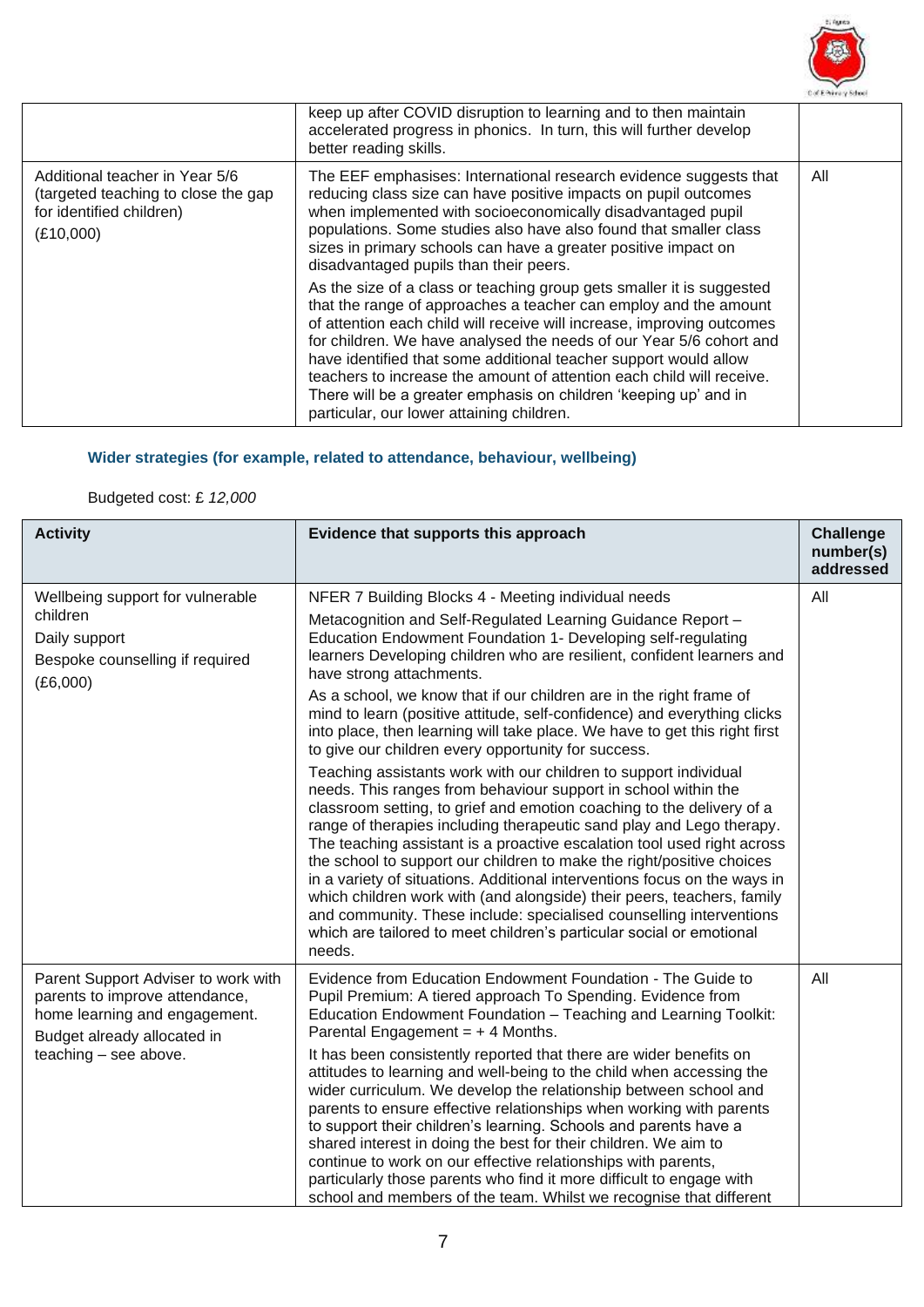

|                                                                                                                | keep up after COVID disruption to learning and to then maintain<br>accelerated progress in phonics. In turn, this will further develop<br>better reading skills.                                                                                                                                                                                                                                                                                                                                                                                                                                                                                                                                                                                                                                                                                                                                                                                 |     |
|----------------------------------------------------------------------------------------------------------------|--------------------------------------------------------------------------------------------------------------------------------------------------------------------------------------------------------------------------------------------------------------------------------------------------------------------------------------------------------------------------------------------------------------------------------------------------------------------------------------------------------------------------------------------------------------------------------------------------------------------------------------------------------------------------------------------------------------------------------------------------------------------------------------------------------------------------------------------------------------------------------------------------------------------------------------------------|-----|
| Additional teacher in Year 5/6<br>(targeted teaching to close the gap<br>for identified children)<br>(E10,000) | The EEF emphasises: International research evidence suggests that<br>reducing class size can have positive impacts on pupil outcomes<br>when implemented with socioeconomically disadvantaged pupil<br>populations. Some studies also have also found that smaller class<br>sizes in primary schools can have a greater positive impact on<br>disadvantaged pupils than their peers.<br>As the size of a class or teaching group gets smaller it is suggested<br>that the range of approaches a teacher can employ and the amount<br>of attention each child will receive will increase, improving outcomes<br>for children. We have analysed the needs of our Year 5/6 cohort and<br>have identified that some additional teacher support would allow<br>teachers to increase the amount of attention each child will receive.<br>There will be a greater emphasis on children 'keeping up' and in<br>particular, our lower attaining children. | All |

# **Wider strategies (for example, related to attendance, behaviour, wellbeing)**

# Budgeted cost: £ *12,000*

| <b>Activity</b>                                                                                                                                                | Evidence that supports this approach                                                                                                                                                                                                                                                                                                                                                                                                                                                                                                                                                                                                                                                                                                                                                                                                                                                                                                                                                                                                                                                                                                                                                                                                                                                                                                        | <b>Challenge</b><br>number(s)<br>addressed |
|----------------------------------------------------------------------------------------------------------------------------------------------------------------|---------------------------------------------------------------------------------------------------------------------------------------------------------------------------------------------------------------------------------------------------------------------------------------------------------------------------------------------------------------------------------------------------------------------------------------------------------------------------------------------------------------------------------------------------------------------------------------------------------------------------------------------------------------------------------------------------------------------------------------------------------------------------------------------------------------------------------------------------------------------------------------------------------------------------------------------------------------------------------------------------------------------------------------------------------------------------------------------------------------------------------------------------------------------------------------------------------------------------------------------------------------------------------------------------------------------------------------------|--------------------------------------------|
| Wellbeing support for vulnerable<br>children<br>Daily support<br>Bespoke counselling if required<br>(E6,000)                                                   | NFER 7 Building Blocks 4 - Meeting individual needs<br>Metacognition and Self-Regulated Learning Guidance Report -<br>Education Endowment Foundation 1- Developing self-regulating<br>learners Developing children who are resilient, confident learners and<br>have strong attachments.<br>As a school, we know that if our children are in the right frame of<br>mind to learn (positive attitude, self-confidence) and everything clicks<br>into place, then learning will take place. We have to get this right first<br>to give our children every opportunity for success.<br>Teaching assistants work with our children to support individual<br>needs. This ranges from behaviour support in school within the<br>classroom setting, to grief and emotion coaching to the delivery of a<br>range of therapies including therapeutic sand play and Lego therapy.<br>The teaching assistant is a proactive escalation tool used right across<br>the school to support our children to make the right/positive choices<br>in a variety of situations. Additional interventions focus on the ways in<br>which children work with (and alongside) their peers, teachers, family<br>and community. These include: specialised counselling interventions<br>which are tailored to meet children's particular social or emotional<br>needs. | All                                        |
| Parent Support Adviser to work with<br>parents to improve attendance,<br>home learning and engagement.<br>Budget already allocated in<br>teaching - see above. | Evidence from Education Endowment Foundation - The Guide to<br>Pupil Premium: A tiered approach To Spending. Evidence from<br>Education Endowment Foundation - Teaching and Learning Toolkit:<br>Parental Engagement = $+4$ Months.<br>It has been consistently reported that there are wider benefits on<br>attitudes to learning and well-being to the child when accessing the<br>wider curriculum. We develop the relationship between school and<br>parents to ensure effective relationships when working with parents<br>to support their children's learning. Schools and parents have a<br>shared interest in doing the best for their children. We aim to<br>continue to work on our effective relationships with parents,<br>particularly those parents who find it more difficult to engage with<br>school and members of the team. Whilst we recognise that different                                                                                                                                                                                                                                                                                                                                                                                                                                                          | All                                        |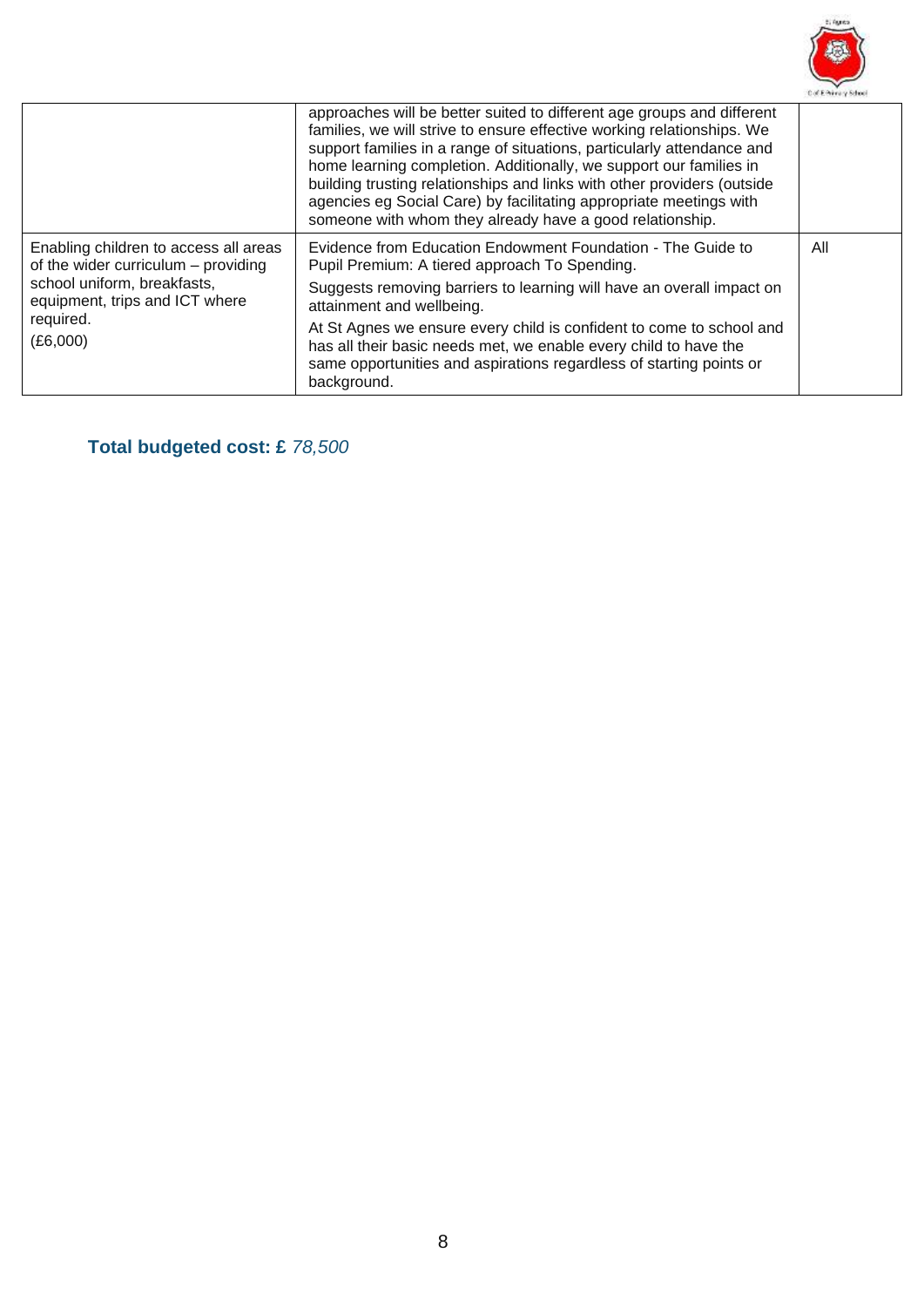

|                                                                                                                                                                        | approaches will be better suited to different age groups and different<br>families, we will strive to ensure effective working relationships. We<br>support families in a range of situations, particularly attendance and<br>home learning completion. Additionally, we support our families in<br>building trusting relationships and links with other providers (outside<br>agencies eg Social Care) by facilitating appropriate meetings with<br>someone with whom they already have a good relationship. |     |
|------------------------------------------------------------------------------------------------------------------------------------------------------------------------|---------------------------------------------------------------------------------------------------------------------------------------------------------------------------------------------------------------------------------------------------------------------------------------------------------------------------------------------------------------------------------------------------------------------------------------------------------------------------------------------------------------|-----|
| Enabling children to access all areas<br>of the wider curriculum – providing<br>school uniform, breakfasts,<br>equipment, trips and ICT where<br>required.<br>(E6,000) | Evidence from Education Endowment Foundation - The Guide to<br>Pupil Premium: A tiered approach To Spending.<br>Suggests removing barriers to learning will have an overall impact on<br>attainment and wellbeing.<br>At St Agnes we ensure every child is confident to come to school and<br>has all their basic needs met, we enable every child to have the<br>same opportunities and aspirations regardless of starting points or<br>background.                                                          | All |

**Total budgeted cost: £** *78,500*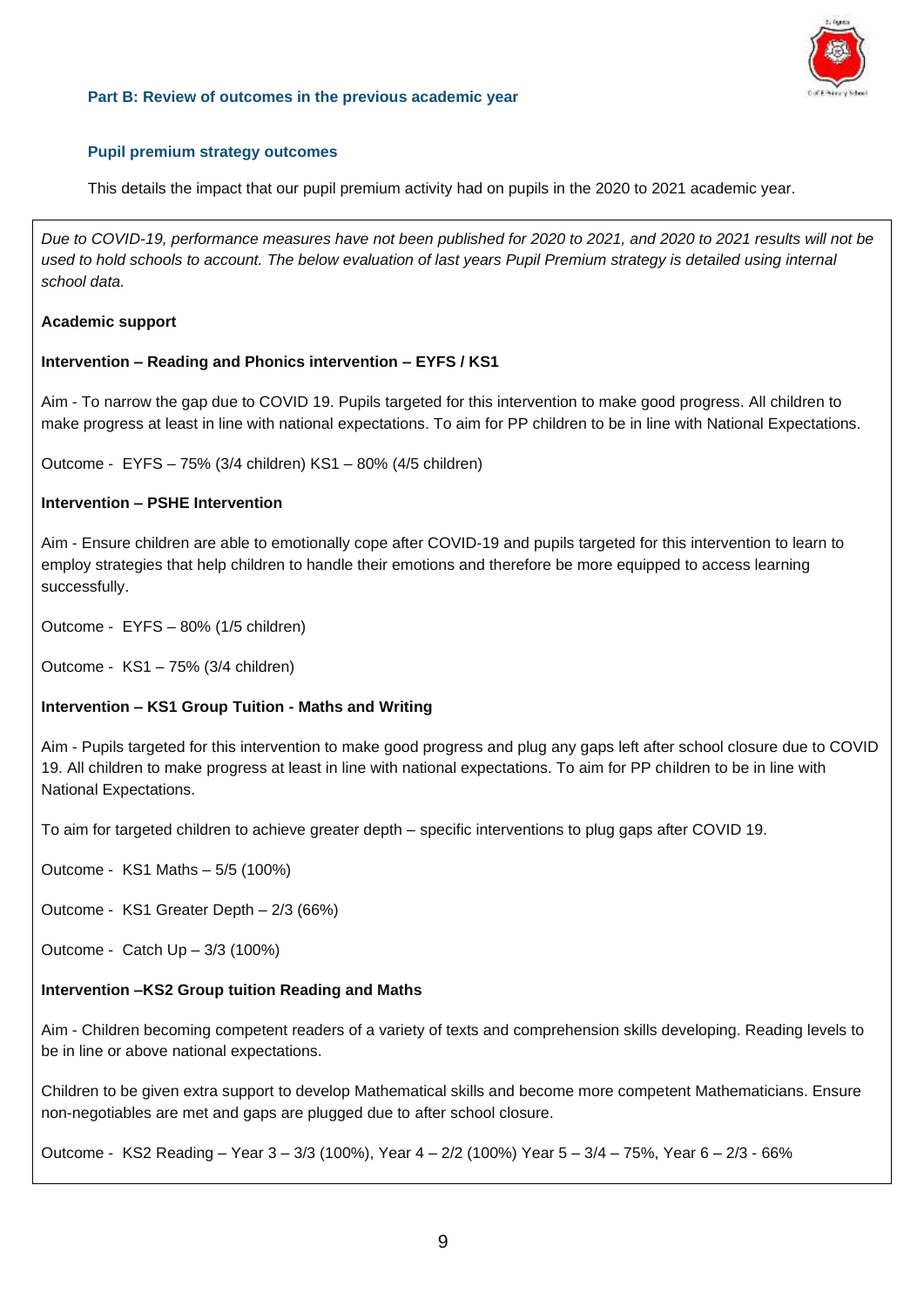

#### **Part B: Review of outcomes in the previous academic year**

#### **Pupil premium strategy outcomes**

This details the impact that our pupil premium activity had on pupils in the 2020 to 2021 academic year.

*Due to COVID-19, performance measures have not been published for 2020 to 2021, and 2020 to 2021 results will not be*  used to hold schools to account. The below evaluation of last years Pupil Premium strategy is detailed using internal *school data.*

#### **Academic support**

#### **Intervention – Reading and Phonics intervention – EYFS / KS1**

Aim - To narrow the gap due to COVID 19. Pupils targeted for this intervention to make good progress. All children to make progress at least in line with national expectations. To aim for PP children to be in line with National Expectations.

Outcome - EYFS – 75% (3/4 children) KS1 – 80% (4/5 children)

#### **Intervention – PSHE Intervention**

Aim - Ensure children are able to emotionally cope after COVID-19 and pupils targeted for this intervention to learn to employ strategies that help children to handle their emotions and therefore be more equipped to access learning successfully.

Outcome - EYFS – 80% (1/5 children)

Outcome - KS1 – 75% (3/4 children)

#### **Intervention – KS1 Group Tuition - Maths and Writing**

Aim - Pupils targeted for this intervention to make good progress and plug any gaps left after school closure due to COVID 19. All children to make progress at least in line with national expectations. To aim for PP children to be in line with National Expectations.

To aim for targeted children to achieve greater depth – specific interventions to plug gaps after COVID 19.

Outcome - KS1 Maths – 5/5 (100%)

Outcome - KS1 Greater Depth – 2/3 (66%)

Outcome - Catch Up – 3/3 (100%)

#### **Intervention –KS2 Group tuition Reading and Maths**

Aim - Children becoming competent readers of a variety of texts and comprehension skills developing. Reading levels to be in line or above national expectations.

Children to be given extra support to develop Mathematical skills and become more competent Mathematicians. Ensure non-negotiables are met and gaps are plugged due to after school closure.

Outcome - KS2 Reading – Year 3 – 3/3 (100%), Year 4 – 2/2 (100%) Year 5 – 3/4 – 75%, Year 6 – 2/3 - 66%